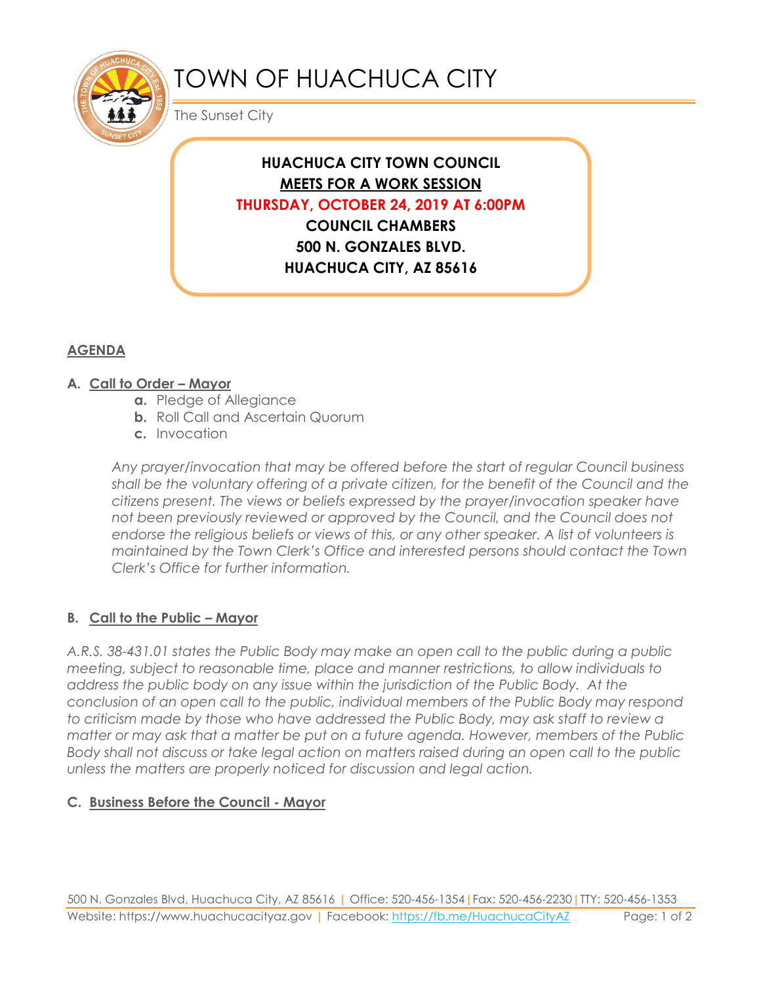

# TOWN OF HUACHUCA CITY

The Sunset City

# **HUACHUCA CITY TOWN COUNCIL MEETS FOR A WORK SESSION THURSDAY, OCTOBER 24, 2019 AT 6:00PM COUNCIL CHAMBERS 500 N. GONZALES BLVD. HUACHUCA CITY, AZ 85616**

# **AGENDA**

#### **A. Call to Order – Mayor**

- **a.** Pledge of Allegiance
- **b.** Roll Call and Ascertain Quorum
- **c.** Invocation

*Any prayer/invocation that may be offered before the start of regular Council business shall be the voluntary offering of a private citizen, for the benefit of the Council and the citizens present. The views or beliefs expressed by the prayer/invocation speaker have not been previously reviewed or approved by the Council, and the Council does not endorse the religious beliefs or views of this, or any other speaker. A list of volunteers is maintained by the Town Clerk's Office and interested persons should contact the Town Clerk's Office for further information.*

# **B. Call to the Public – Mayor**

*A.R.S. 38-431.01 states the Public Body may make an open call to the public during a public meeting, subject to reasonable time, place and manner restrictions, to allow individuals to address the public body on any issue within the jurisdiction of the Public Body. At the conclusion of an open call to the public, individual members of the Public Body may respond to criticism made by those who have addressed the Public Body, may ask staff to review a matter or may ask that a matter be put on a future agenda. However, members of the Public Body shall not discuss or take legal action on matters raised during an open call to the public unless the matters are properly noticed for discussion and legal action.*

# **C. Business Before the Council - Mayor**